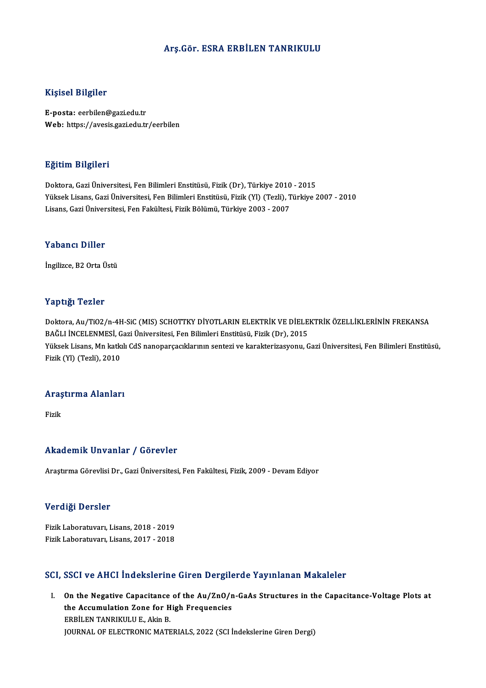### Arş.Gör. ESRA ERBİLEN TANRIKULU

### Kişisel Bilgiler

E-posta: eerbilen@gazi.edu.tr Web: https://avesis.gazi.edu.tr/eerbilen

### Eğitim Bilgileri

Doktora, Gazi Üniversitesi, Fen Bilimleri Enstitüsü, Fizik (Dr), Türkiye 2010 - 2015 YüksekLisans,GaziÜniversitesi,FenBilimleriEnstitüsü,Fizik(Yl) (Tezli),Türkiye 2007 -2010 Lisans,GaziÜniversitesi,FenFakültesi,FizikBölümü,Türkiye 2003 -2007

#### Yabancı Diller

İngilizce, B2 Orta Üstü

### Yaptığı Tezler

Yaptığı Tezler<br>Doktora, Au/TiO2/n-4H-SiC (MIS) SCHOTTKY DİYOTLARIN ELEKTRİK VE DİELEKTRİK ÖZELLİKLERİNİN FREKANSA<br>RAĞLLİNCELENMESİ Gezi Üniversitesi Esp Bilimleri Enstitüsü, Fizik (Dr), 2015 1 ap 13,1 1 02101<br>Doktora, Au/TiO2/n-4H-SiC (MIS) SCHOTTKY DİYOTLARIN ELEKTRİK VE DİELE<br>BAĞLI İNCELENMESİ, Gazi Üniversitesi, Fen Bilimleri Enstitüsü, Fizik (Dr), 2015<br>Vülsek Lisans, Mn katklı GdS nanonarsasıklarının sonta Yüksek Lisans, Mn katkılı CdS nanoparçacıklarının sentezi ve karakterizasyonu, Gazi Üniversitesi, Fen Bilimleri Enstitüsü,<br>Fizik (Yl) (Tezli), 2010 BAĞLI İNCELENMESİ, Gazi Üniversitesi, Fen Bilimleri Enstitüsü, Fizik (Dr), 2015

## rızık (11) (1ezil), 2010<br>Araştırma Alanları <mark>Araş</mark><br>Fizik

# Akademik Unvanlar / Görevler

AraştırmaGörevlisiDr.,GaziÜniversitesi,FenFakültesi,Fizik,2009 -DevamEdiyor

#### Verdiği Dersler

**Verdiği Dersler<br>Fizik Laboratuvarı, Lisans, 2018 - 2019<br>Fizik Laboratuvarı, Lisans, 2017 - 2019** v or argr 2019.01<br>Fizik Laboratuvarı, Lisans, 2018 - 2019<br>Fizik Laboratuvarı, Lisans, 2017 - 2018

# Fizik Laboratuvarı, Lisans, 2017 - 2018<br>SCI, SSCI ve AHCI İndekslerine Giren Dergilerde Yayınlanan Makaleler

CI, SSCI ve AHCI Indekslerine Giren Dergilerde Yayınlanan Makaleler<br>I. On the Negative Capacitance of the Au/ZnO/n-GaAs Structures in the Capacitance-Voltage Plots at<br>the Assumulation Zone for High Enequencies observe Three International Christ Bergha<br>On the Negative Capacitance of the Au/ZnO/n<br>the Accumulation Zone for High Frequencies On the Negative Capacitance<br>the Accumulation Zone for H<br>ERBİLEN TANRIKULU E., Akin B.<br>JOUPNAL OF ELECTRONIC MATE the Accumulation Zone for High Frequencies<br>ERBİLEN TANRIKULU E., Akin B.<br>JOURNAL OF ELECTRONIC MATERIALS, 2022 (SCI İndekslerine Giren Dergi)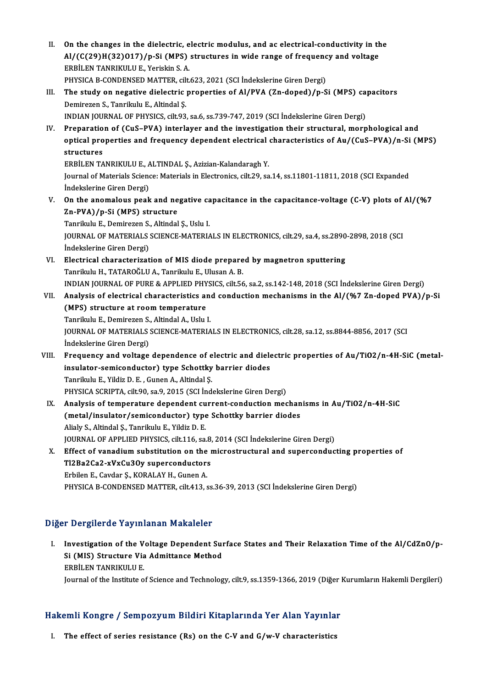- II. On the changes in the dielectric, electric modulus, and ac electrical-conductivity in the<br>AL(CC20)H(22)O17) (p.Si.(MBS) structures in wide nange of frequency and veltage On the changes in the dielectric, electric modulus, and ac electrical-conductivity in th<br>Al/(C(29)H(32)O17)/p-Si (MPS) structures in wide range of frequency and voltage<br>FRRILEN TANDIKULLE Vorickin S.A ERBİLEN TANRIKULU E., Yeriskin S. A.<br>PHYSICA B-CONDENSED MATTER, cilt.623, 2021 (SCI İndekslerine Giren Dergi)  $\text{Al}/\text{(C}(29)\text{H}(32)017)/p$ -Si (MPS) structures in wide range of frequency and voltage
	-
- ERBİLEN TANRIKULU E., Yeriskin S. A.<br>PHYSICA B-CONDENSED MATTER, cilt.623, 2021 (SCI İndekslerine Giren Dergi)<br>III. The study on negative dielectric properties of Al/PVA (Zn-doped)/p-Si (MPS) capacitors<br>Demireson S. Tanril PHYSICA B-CONDENSED MATTER, cilf<br>The study on negative dielectric<br>Demirezen S., Tanrikulu E., Altindal Ş.<br>INDIAN JOUPNAL OF PHYSICS cilt 93 The study on negative dielectric properties of Al/PVA (Zn-doped)/p-Si (MPS) can<br>Demirezen S., Tanrikulu E., Altindal Ş.<br>INDIAN JOURNAL OF PHYSICS, cilt.93, sa.6, ss.739-747, 2019 (SCI İndekslerine Giren Dergi)<br>Properation Demirezen S., Tanrikulu E., Altindal Ş.<br>INDIAN JOURNAL OF PHYSICS, cilt.93, sa.6, ss.739-747, 2019 (SCI İndekslerine Giren Dergi)<br>IV. Preparation of (CuS–PVA) interlayer and the investigation their structural, morphologica
	-
- INDIAN JOURNAL OF PHYSICS, cilt.93, sa.6, ss.739-747, 2019 (SCI İndekslerine Giren Dergi)<br>Preparation of (CuS–PVA) interlayer and the investigation their structural, morphological and<br>optical properties and frequency depen Preparatio<br>optical pro<br>structures<br>EPP<sup>it EN TA</sub></sup> optical properties and frequency dependent electrical<br>structures<br>ERBİLEN TANRIKULU E., ALTINDAL Ş., Azizian-Kalandaragh Y.<br>Journal of Matorials Science: Matorials in Electronics cilt 20, se

structures<br>ERBİLEN TANRIKULU E., ALTINDAL Ş., Azizian-Kalandaragh Y.<br>Journal of Materials Science: Materials in Electronics, cilt.29, sa.14, ss.11801-11811, 2018 (SCI Expanded<br>İndekslerine Giren Dergi) ERBİLEN TANRIKULU E., ALTINDAL Ş., Azizian-Kalandaragh Y. Journal of Materials Science: Materials in Electronics, cilt.29, sa.14, ss.11801-11811, 2018 (SCI Expanded<br>
indekslerine Giren Dergi)<br>
V. On the anomalous peak and negative capacitance in the capacitance-voltage (C-V) plot

İndekslerine Giren Dergi)<br>On the anomalous peak and ne<br>Zn-PVA)/p-Si (MPS) structure<br>Tenrilplu E. Demiregen S. Altindel On the anomalous peak and negative ca<br>Zn-PVA)/p-Si (MPS) structure<br>Tanrikulu E., Demirezen S., Altindal Ş., Uslu I.<br>JOUPNAL OF MATERIALS SCIENCE MATERIA

Zn-PVA)/p-Si (MPS) structure<br>Tanrikulu E., Demirezen S., Altindal Ş., Uslu I.<br>JOURNAL OF MATERIALS SCIENCE-MATERIALS IN ELECTRONICS, cilt.29, sa.4, ss.2890-2898, 2018 (SCI<br>İndekalerine Ciren Dergi) Tanrikulu E., Demirezen S.<br>JOURNAL OF MATERIALS<br>İndekslerine Giren Dergi)<br>Electrical characterinat JOURNAL OF MATERIALS SCIENCE-MATERIALS IN ELECTRONICS, cilt.29, sa.4, ss.2890<br>
indekslerine Giren Dergi)<br>
VI. Electrical characterization of MIS diode prepared by magnetron sputtering<br>
Topsilulu H. TATARQČIJI A. Topsilulu

- İndekslerine Giren Dergi)<br>Electrical characterization of MIS diode prepare<br>Tanrikulu H., TATAROĞLU A., Tanrikulu E., Ulusan A. B.<br>INDIAN IOURNAL OF PURE & APRLIED PUYSICS, sil: 56 Electrical characterization of MIS diode prepared by magnetron sputtering<br>Tanrikulu H., TATAROĞLU A., Tanrikulu E., Ulusan A. B.<br>INDIAN JOURNAL OF PURE & APPLIED PHYSICS, cilt.56, sa.2, ss.142-148, 2018 (SCI İndekslerine G
- Tanrikulu H., TATAROĞLU A., Tanrikulu E., Ulusan A. B.<br>INDIAN JOURNAL OF PURE & APPLIED PHYSICS, cilt.56, sa.2, ss.142-148, 2018 (SCI İndekslerine Giren Dergi)<br>VII. Analysis of electrical characteristics and conduction mec (MDIAN JOURNAL OF PURE & APPLIED PHY<br>Analysis of electrical characteristics at<br>(MPS) structure at room temperature<br>Tanrilath E. Demirezen S. Altindal A. Halu Tanrikulu E., Demirezen S., Altindal A., Uslu I. (MPS) structure at room temperature<br>Tanrikulu E., Demirezen S., Altindal A., Uslu I.<br>JOURNAL OF MATERIALS SCIENCE-MATERIALS IN ELECTRONICS, cilt.28, sa.12, ss.8844-8856, 2017 (SCI<br>İndekslerine Ciren Dergi) Tanrikulu E., Demirezen S.<br>JOURNAL OF MATERIALS<br>İndekslerine Giren Dergi)<br>Frequency and veltage JOURNAL OF MATERIALS SCIENCE-MATERIALS IN ELECTRONICS, cilt.28, sa.12, ss.8844-8856, 2017 (SCI<br>Indekslerine Giren Dergi)<br>VIII. Frequency and voltage dependence of electric and dielectric properties of Au/TiO2/n-4H-SiC (met
- indekslerine Giren Dergi)<br>Frequency and voltage dependence of electric and diele<br>insulator-semiconductor) type Schottky barrier diodes<br>Tenrilplu F. Vildig D. E. Cunon A. Altindel S. Frequency and voltage dependence of e<br>insulator-semiconductor) type Schottky<br>Tanrikulu E., Yildiz D. E. , Gunen A., Altindal Ş.<br>PHYSICA SCRIPTA silt 90. sa 9. 2015 (SCL Ind insulator-semiconductor) type Schottky barrier diodes<br>Tanrikulu E., Yildiz D. E., Gunen A., Altindal Ş.<br>PHYSICA SCRIPTA, cilt.90, sa.9, 2015 (SCI İndekslerine Giren Dergi)
- IX. Analysis of temperature dependent current-conduction mechanisms in Au/TiO2/n-4H-SiC PHYSICA SCRIPTA, cilt.90, sa.9, 2015 (SCI İndekslerine Giren Dergi)<br>Analysis of temperature dependent current-conduction mechan<br>(metal/insulator/semiconductor) type Schottky barrier diodes<br>Aliaky S. Alindal S. Tenrilplu E. Analysis of temperature dependent cu<br>(metal/insulator/semiconductor) type<br>Alialy S., Altindal Ş., Tanrikulu E., Yildiz D. E.<br>JOUPMAL OF APPLIED BUYSICS silt 116, 88 (metal/insulator/semiconductor) type Schottky barrier diodes<br>Alialy S., Altindal Ş., Tanrikulu E., Yildiz D. E.<br>JOURNAL OF APPLIED PHYSICS, cilt.116, sa.8, 2014 (SCI İndekslerine Giren Dergi)<br>Effect of wanadium substitutio Alialy S., Altindal Ș., Tanrikulu E., Yildiz D. E.<br>JOURNAL OF APPLIED PHYSICS, cilt.116, sa.8, 2014 (SCI İndekslerine Giren Dergi)<br>X. Effect of vanadium substitution on the microstructural and superconducting properties of
- JOURNAL OF APPLIED PHYSICS, cilt.116, sa.8,<br>Effect of vanadium substitution on the r<br>Tl2Ba2Ca2-xVxCu3Oy superconductors Effect of vanadium substitution on the<br>Tl2Ba2Ca2-xVxCu3Oy superconductor:<br>Erbilen E., Cavdar Ş., KORALAY H., Gunen A.<br>PHYSICA P. CONDENSED MATTER, silt 413, 4 T12Ba2Ca2-xVxCu3Oy superconductors<br>Erbilen E., Cavdar Ş., KORALAY H., Gunen A.<br>PHYSICA B-CONDENSED MATTER, cilt.413, ss.36-39, 2013 (SCI İndekslerine Giren Dergi)

### Diğer Dergilerde Yayınlanan Makaleler

Iger Dergilerde Yayınlanan Makaleler<br>I. Investigation of the Voltage Dependent Surface States and Their Relaxation Time of the Al/CdZnO/p-<br>Si (MIS) Structure Via Admittance Method I Bergherde Tdymanam Makdreier<br>Investigation of the Voltage Dependent Sur<br>Si (MIS) Structure Via Admittance Method Investigation of the V<br>Si (MIS) Structure Via<br>ERBİLEN TANRIKULU E.<br>Journal of the Institute o Si (MIS) Structure Via Admittance Method<br>ERBİLEN TANRIKULU E.<br>Journal of the Institute of Science and Technology, cilt.9, ss.1359-1366, 2019 (Diğer Kurumların Hakemli Dergileri)

## 1901 yournal of the institute of Science and Technology, clit.9, ss.1359-1366, 2019<br>Hakemli Kongre / Sempozyum Bildiri Kitaplarında Yer Alan Yayınlar akemli Kongre / Sempozyum Bildiri Kitaplarında Yer Alan Yayınla<br>I. The effect of series resistance (Rs) on the C-V and G/w-V characteristics